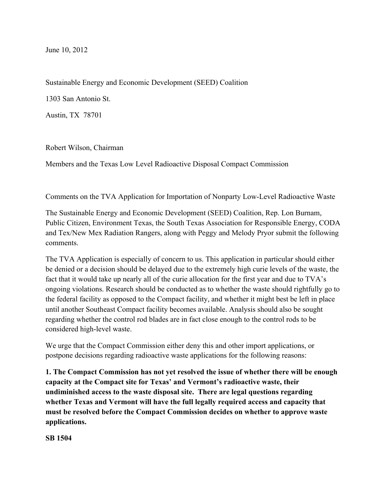June 10, 2012

Sustainable Energy and Economic Development (SEED) Coalition

1303 San Antonio St.

Austin, TX 78701

Robert Wilson, Chairman

Members and the Texas Low Level Radioactive Disposal Compact Commission

Comments on the TVA Application for Importation of Nonparty Low-Level Radioactive Waste

The Sustainable Energy and Economic Development (SEED) Coalition, Rep. Lon Burnam, Public Citizen, Environment Texas, the South Texas Association for Responsible Energy, CODA and Tex/New Mex Radiation Rangers, along with Peggy and Melody Pryor submit the following comments.

The TVA Application is especially of concern to us. This application in particular should either be denied or a decision should be delayed due to the extremely high curie levels of the waste, the fact that it would take up nearly all of the curie allocation for the first year and due to TVA's ongoing violations. Research should be conducted as to whether the waste should rightfully go to the federal facility as opposed to the Compact facility, and whether it might best be left in place until another Southeast Compact facility becomes available. Analysis should also be sought regarding whether the control rod blades are in fact close enough to the control rods to be considered high-level waste.

We urge that the Compact Commission either deny this and other import applications, or postpone decisions regarding radioactive waste applications for the following reasons:

**1. The Compact Commission has not yet resolved the issue of whether there will be enough capacity at the Compact site for Texas' and Vermont's radioactive waste, their undiminished access to the waste disposal site. There are legal questions regarding whether Texas and Vermont will have the full legally required access and capacity that must be resolved before the Compact Commission decides on whether to approve waste applications.**

**SB 1504**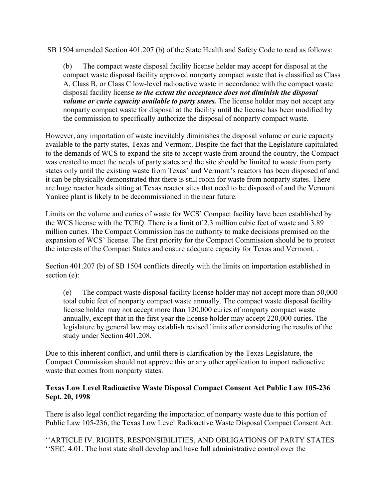SB 1504 amended Section 401.207 (b) of the State Health and Safety Code to read as follows:

(b) The compact waste disposal facility license holder may accept for disposal at the compact waste disposal facility approved nonparty compact waste that is classified as Class A, Class B, or Class C low-level radioactive waste in accordance with the compact waste disposal facility license *to the extent the acceptance does not diminish the disposal volume or curie capacity available to party states.* The license holder may not accept any nonparty compact waste for disposal at the facility until the license has been modified by the commission to specifically authorize the disposal of nonparty compact waste.

However, any importation of waste inevitably diminishes the disposal volume or curie capacity available to the party states, Texas and Vermont. Despite the fact that the Legislature capitulated to the demands of WCS to expand the site to accept waste from around the country, the Compact was created to meet the needs of party states and the site should be limited to waste from party states only until the existing waste from Texas' and Vermont's reactors has been disposed of and it can be physically demonstrated that there is still room for waste from nonparty states. There are huge reactor heads sitting at Texas reactor sites that need to be disposed of and the Vermont Yankee plant is likely to be decommissioned in the near future.

Limits on the volume and curies of waste for WCS' Compact facility have been established by the WCS license with the TCEQ. There is a limit of 2.3 million cubic feet of waste and 3.89 million curies. The Compact Commission has no authority to make decisions premised on the expansion of WCS' license. The first priority for the Compact Commission should be to protect the interests of the Compact States and ensure adequate capacity for Texas and Vermont. .

Section 401.207 (b) of SB 1504 conflicts directly with the limits on importation established in section (e):

(e) The compact waste disposal facility license holder may not accept more than  $50,000$ total cubic feet of nonparty compact waste annually. The compact waste disposal facility license holder may not accept more than 120,000 curies of nonparty compact waste annually, except that in the first year the license holder may accept 220,000 curies. The legislature by general law may establish revised limits after considering the results of the study under Section 401.208.

Due to this inherent conflict, and until there is clarification by the Texas Legislature, the Compact Commission should not approve this or any other application to import radioactive waste that comes from nonparty states.

### **Texas Low Level Radioactive Waste Disposal Compact Consent Act Public Law 105-236 Sept. 20, 1998**

There is also legal conflict regarding the importation of nonparty waste due to this portion of Public Law 105-236, the Texas Low Level Radioactive Waste Disposal Compact Consent Act:

''ARTICLE IV. RIGHTS, RESPONSIBILITIES, AND OBLIGATIONS OF PARTY STATES ''SEC. 4.01. The host state shall develop and have full administrative control over the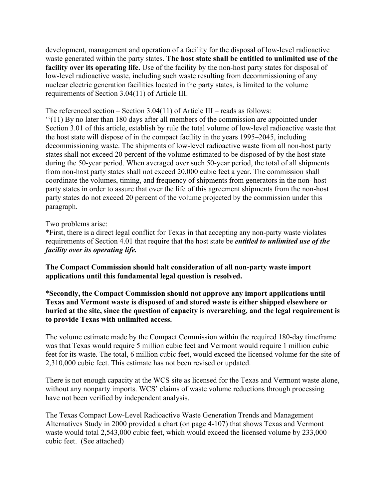development, management and operation of a facility for the disposal of low-level radioactive waste generated within the party states. **The host state shall be entitled to unlimited use of the facility over its operating life.** Use of the facility by the non-host party states for disposal of low-level radioactive waste, including such waste resulting from decommissioning of any nuclear electric generation facilities located in the party states, is limited to the volume requirements of Section 3.04(11) of Article III.

The referenced section – Section 3.04(11) of Article III – reads as follows:

''(11) By no later than 180 days after all members of the commission are appointed under Section 3.01 of this article, establish by rule the total volume of low-level radioactive waste that the host state will dispose of in the compact facility in the years 1995–2045, including decommissioning waste. The shipments of low-level radioactive waste from all non-host party states shall not exceed 20 percent of the volume estimated to be disposed of by the host state during the 50-year period. When averaged over such 50-year period, the total of all shipments from non-host party states shall not exceed 20,000 cubic feet a year. The commission shall coordinate the volumes, timing, and frequency of shipments from generators in the non- host party states in order to assure that over the life of this agreement shipments from the non-host party states do not exceed 20 percent of the volume projected by the commission under this paragraph.

#### Two problems arise:

\*First, there is a direct legal conflict for Texas in that accepting any non-party waste violates requirements of Section 4.01 that require that the host state be *entitled to unlimited use of the facility over its operating life.*

**The Compact Commission should halt consideration of all non-party waste import applications until this fundamental legal question is resolved.** 

\***Secondly, the Compact Commission should not approve any import applications until Texas and Vermont waste is disposed of and stored waste is either shipped elsewhere or buried at the site, since the question of capacity is overarching, and the legal requirement is to provide Texas with unlimited access.**

The volume estimate made by the Compact Commission within the required 180-day timeframe was that Texas would require 5 million cubic feet and Vermont would require 1 million cubic feet for its waste. The total, 6 million cubic feet, would exceed the licensed volume for the site of 2,310,000 cubic feet. This estimate has not been revised or updated.

There is not enough capacity at the WCS site as licensed for the Texas and Vermont waste alone, without any nonparty imports. WCS' claims of waste volume reductions through processing have not been verified by independent analysis.

The Texas Compact Low-Level Radioactive Waste Generation Trends and Management Alternatives Study in 2000 provided a chart (on page 4-107) that shows Texas and Vermont waste would total 2,543,000 cubic feet, which would exceed the licensed volume by 233,000 cubic feet. (See attached)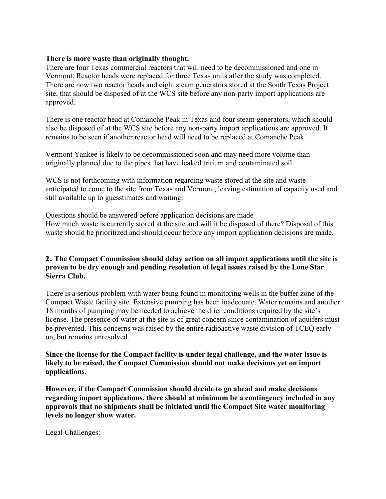#### **There is more waste than originally thought.**

There are four Texas commercial reactors that will need to be decommissioned and one in Vermont. Reactor heads were replaced for three Texas units after the study was completed. There are now two reactor heads and eight steam generators stored at the South Texas Project site, that should be disposed of at the WCS site before any non-party import applications are approved.

There is one reactor head at Comanche Peak in Texas and four steam generators, which should also be disposed of at the WCS site before any non-party import applications are approved. It remains to be seen if another reactor head will need to be replaced at Comanche Peak.

Vermont Yankee is likely to be decommissioned soon and may need more volume than originally planned due to the pipes that have leaked tritium and contaminated soil.

WCS is not forthcoming with information regarding waste stored at the site and waste anticipated to come to the site from Texas and Vermont, leaving estimation of capacity used and still available up to guesstimates and waiting.

Questions should be answered before application decisions are made How much waste is currently stored at the site and will it be disposed of there? Disposal of this waste should be prioritized and should occur before any import application decisions are made.

### **2. The Compact Commission should delay action on all import applications until the site is proven to be dry enough and pending resolution of legal issues raised by the Lone Star Sierra Club.**

There is a serious problem with water being found in monitoring wells in the buffer zone of the Compact Waste facility site. Extensive pumping has been inadequate. Water remains and another 18 months of pumping may be needed to achieve the drier conditions required by the site's license. The presence of water at the site is of great concern since contamination of aquifers must be prevented. This concerns was raised by the entire radioactive waste division of TCEQ early on, but remains unresolved.

**Since the license for the Compact facility is under legal challenge, and the water issue is likely to be raised, the Compact Commission should not make decisions yet on import applications.** 

**However, if the Compact Commission should decide to go ahead and make decisions regarding import applications, there should at minimum be a contingency included in any approvals that no shipments shall be initiated until the Compact Site water monitoring levels no longer show water.** 

Legal Challenges: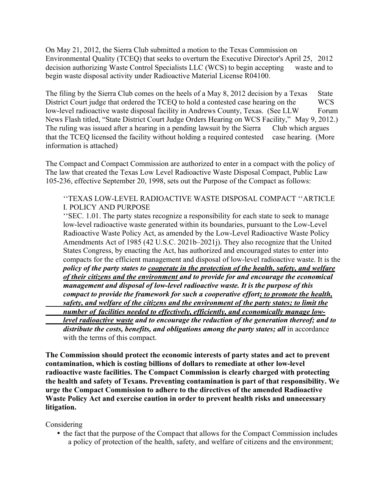On May 21, 2012, the Sierra Club submitted a motion to the Texas Commission on Environmental Quality (TCEQ) that seeks to overturn the Executive Director's April 25, 2012 decision authorizing Waste Control Specialists LLC (WCS) to begin accepting waste and to begin waste disposal activity under Radioactive Material License R04100.

The filing by the Sierra Club comes on the heels of a May 8, 2012 decision by a Texas State District Court judge that ordered the TCEQ to hold a contested case hearing on the WCS low-level radioactive waste disposal facility in Andrews County, Texas. (See LLW Forum News Flash titled, "State District Court Judge Orders Hearing on WCS Facility," May 9, 2012.) The ruling was issued after a hearing in a pending lawsuit by the Sierra Club which argues that the TCEQ licensed the facility without holding a required contested case hearing. (More information is attached)

The Compact and Compact Commission are authorized to enter in a compact with the policy of The law that created the Texas Low Level Radioactive Waste Disposal Compact, Public Law 105-236, effective September 20, 1998, sets out the Purpose of the Compact as follows:

''TEXAS LOW-LEVEL RADIOACTIVE WASTE DISPOSAL COMPACT ''ARTICLE I. POLICY AND PURPOSE

''SEC. 1.01. The party states recognize a responsibility for each state to seek to manage low-level radioactive waste generated within its boundaries, pursuant to the Low-Level Radioactive Waste Policy Act, as amended by the Low-Level Radioactive Waste Policy Amendments Act of 1985 (42 U.S.C. 2021b–2021j). They also recognize that the United States Congress, by enacting the Act, has authorized and encouraged states to enter into compacts for the efficient management and disposal of low-level radioactive waste. It is the *policy of the party states to cooperate in the protection of the health, safety, and welfare of their citizens and the environment and to provide for and encourage the economical management and disposal of low-level radioactive waste. It is the purpose of this compact to provide the framework for such a cooperative effort; to promote the health, safety, and welfare of the citizens and the environment of the party states; to limit the number of facilities needed to effectively, efficiently, and economically manage lowlevel radioactive waste and to encourage the reduction of the generation thereof; and to* 

distribute the costs, benefits, and obligations among the party states; all in accordance with the terms of this compact.

**The Commission should protect the economic interests of party states and act to prevent contamination, which is costing billions of dollars to remediate at other low-level radioactive waste facilities. The Compact Commission is clearly charged with protecting the health and safety of Texans. Preventing contamination is part of that responsibility. We urge the Compact Commission to adhere to the directives of the amended Radioactive Waste Policy Act and exercise caution in order to prevent health risks and unnecessary litigation.** 

Considering

• the fact that the purpose of the Compact that allows for the Compact Commission includes a policy of protection of the health, safety, and welfare of citizens and the environment;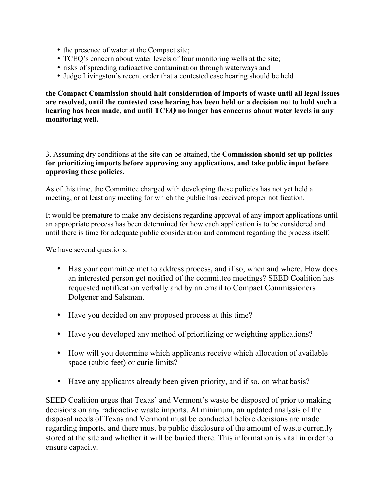- the presence of water at the Compact site;
- TCEQ's concern about water levels of four monitoring wells at the site;
- risks of spreading radioactive contamination through waterways and
- Judge Livingston's recent order that a contested case hearing should be held

**the Compact Commission should halt consideration of imports of waste until all legal issues are resolved, until the contested case hearing has been held or a decision not to hold such a hearing has been made, and until TCEQ no longer has concerns about water levels in any monitoring well.** 

3. Assuming dry conditions at the site can be attained, the **Commission should set up policies for prioritizing imports before approving any applications, and take public input before approving these policies.**

As of this time, the Committee charged with developing these policies has not yet held a meeting, or at least any meeting for which the public has received proper notification.

It would be premature to make any decisions regarding approval of any import applications until an appropriate process has been determined for how each application is to be considered and until there is time for adequate public consideration and comment regarding the process itself.

We have several questions:

- Has your committee met to address process, and if so, when and where. How does an interested person get notified of the committee meetings? SEED Coalition has requested notification verbally and by an email to Compact Commissioners Dolgener and Salsman.
- Have you decided on any proposed process at this time?
- Have you developed any method of prioritizing or weighting applications?
- How will you determine which applicants receive which allocation of available space (cubic feet) or curie limits?
- Have any applicants already been given priority, and if so, on what basis?

SEED Coalition urges that Texas' and Vermont's waste be disposed of prior to making decisions on any radioactive waste imports. At minimum, an updated analysis of the disposal needs of Texas and Vermont must be conducted before decisions are made regarding imports, and there must be public disclosure of the amount of waste currently stored at the site and whether it will be buried there. This information is vital in order to ensure capacity.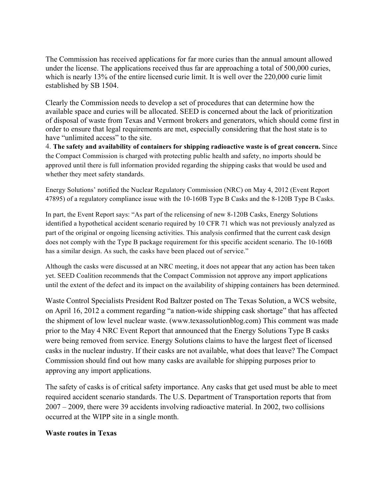The Commission has received applications for far more curies than the annual amount allowed under the license. The applications received thus far are approaching a total of 500,000 curies, which is nearly 13% of the entire licensed curie limit. It is well over the 220,000 curie limit established by SB 1504.

Clearly the Commission needs to develop a set of procedures that can determine how the available space and curies will be allocated. SEED is concerned about the lack of prioritization of disposal of waste from Texas and Vermont brokers and generators, which should come first in order to ensure that legal requirements are met, especially considering that the host state is to have "unlimited access" to the site.

4. **The safety and availability of containers for shipping radioactive waste is of great concern.** Since the Compact Commission is charged with protecting public health and safety, no imports should be approved until there is full information provided regarding the shipping casks that would be used and whether they meet safety standards.

Energy Solutions' notified the Nuclear Regulatory Commission (NRC) on May 4, 2012 (Event Report 47895) of a regulatory compliance issue with the 10-160B Type B Casks and the 8-120B Type B Casks.

In part, the Event Report says: "As part of the relicensing of new 8-120B Casks, Energy Solutions identified a hypothetical accident scenario required by 10 CFR 71 which was not previously analyzed as part of the original or ongoing licensing activities. This analysis confirmed that the current cask design does not comply with the Type B package requirement for this specific accident scenario. The 10-160B has a similar design. As such, the casks have been placed out of service."

Although the casks were discussed at an NRC meeting, it does not appear that any action has been taken yet. SEED Coalition recommends that the Compact Commission not approve any import applications until the extent of the defect and its impact on the availability of shipping containers has been determined.

Waste Control Specialists President Rod Baltzer posted on The Texas Solution, a WCS website, on April 16, 2012 a comment regarding "a nation-wide shipping cask shortage" that has affected the shipment of low level nuclear waste. (www.texassolutionblog.com) This comment was made prior to the May 4 NRC Event Report that announced that the Energy Solutions Type B casks were being removed from service. Energy Solutions claims to have the largest fleet of licensed casks in the nuclear industry. If their casks are not available, what does that leave? The Compact Commission should find out how many casks are available for shipping purposes prior to approving any import applications.

The safety of casks is of critical safety importance. Any casks that get used must be able to meet required accident scenario standards. The U.S. Department of Transportation reports that from 2007 – 2009, there were 39 accidents involving radioactive material. In 2002, two collisions occurred at the WIPP site in a single month.

#### **Waste routes in Texas**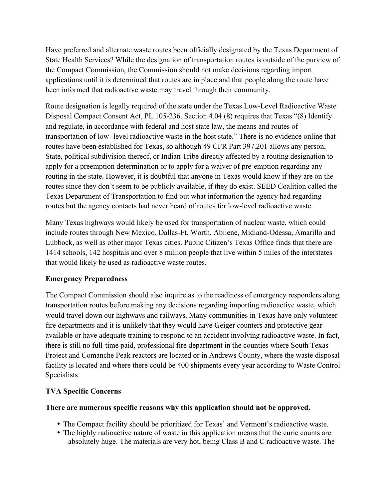Have preferred and alternate waste routes been officially designated by the Texas Department of State Health Services? While the designation of transportation routes is outside of the purview of the Compact Commission, the Commission should not make decisions regarding import applications until it is determined that routes are in place and that people along the route have been informed that radioactive waste may travel through their community.

Route designation is legally required of the state under the Texas Low-Level Radioactive Waste Disposal Compact Consent Act, PL 105-236. Section 4.04 (8) requires that Texas "(8) Identify and regulate, in accordance with federal and host state law, the means and routes of transportation of low- level radioactive waste in the host state." There is no evidence online that routes have been established for Texas, so although 49 CFR Part 397.201 allows any person, State, political subdivision thereof, or Indian Tribe directly affected by a routing designation to apply for a preemption determination or to apply for a waiver of pre-emption regarding any routing in the state. However, it is doubtful that anyone in Texas would know if they are on the routes since they don't seem to be publicly available, if they do exist. SEED Coalition called the Texas Department of Transportation to find out what information the agency had regarding routes but the agency contacts had never heard of routes for low-level radioactive waste.

Many Texas highways would likely be used for transportation of nuclear waste, which could include routes through New Mexico, Dallas-Ft. Worth, Abilene, Midland-Odessa, Amarillo and Lubbock, as well as other major Texas cities. Public Citizen's Texas Office finds that there are 1414 schools, 142 hospitals and over 8 million people that live within 5 miles of the interstates that would likely be used as radioactive waste routes.

# **Emergency Preparedness**

The Compact Commission should also inquire as to the readiness of emergency responders along transportation routes before making any decisions regarding importing radioactive waste, which would travel down our highways and railways. Many communities in Texas have only volunteer fire departments and it is unlikely that they would have Geiger counters and protective gear available or have adequate training to respond to an accident involving radioactive waste. In fact, there is still no full-time paid, professional fire department in the counties where South Texas Project and Comanche Peak reactors are located or in Andrews County, where the waste disposal facility is located and where there could be 400 shipments every year according to Waste Control Specialists.

# **TVA Specific Concerns**

## **There are numerous specific reasons why this application should not be approved.**

- The Compact facility should be prioritized for Texas' and Vermont's radioactive waste.
- The highly radioactive nature of waste in this application means that the curie counts are absolutely huge. The materials are very hot, being Class B and C radioactive waste. The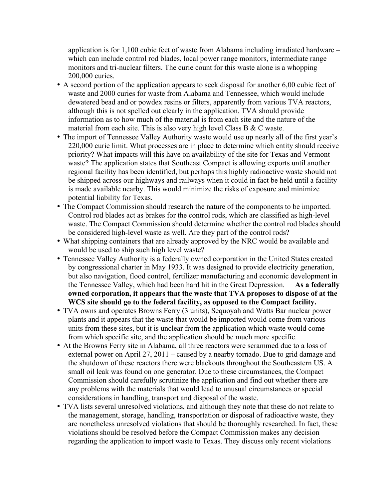application is for 1,100 cubic feet of waste from Alabama including irradiated hardware – which can include control rod blades, local power range monitors, intermediate range monitors and tri-nuclear filters. The curie count for this waste alone is a whopping 200,000 curies.

- A second portion of the application appears to seek disposal for another 6,00 cubic feet of waste and 2000 curies for waste from Alabama and Tennessee, which would include dewatered bead and or powdex resins or filters, apparently from various TVA reactors, although this is not spelled out clearly in the application. TVA should provide information as to how much of the material is from each site and the nature of the material from each site. This is also very high level Class B  $&$  C waste.
- The import of Tennessee Valley Authority waste would use up nearly all of the first year's 220,000 curie limit. What processes are in place to determine which entity should receive priority? What impacts will this have on availability of the site for Texas and Vermont waste? The application states that Southeast Compact is allowing exports until another regional facility has been identified, but perhaps this highly radioactive waste should not be shipped across our highways and railways when it could in fact be held until a facility is made available nearby. This would minimize the risks of exposure and minimize potential liability for Texas.
- The Compact Commission should research the nature of the components to be imported. Control rod blades act as brakes for the control rods, which are classified as high-level waste. The Compact Commission should determine whether the control rod blades should be considered high-level waste as well. Are they part of the control rods?
- What shipping containers that are already approved by the NRC would be available and would be used to ship such high level waste?
- Tennessee Valley Authority is a federally owned corporation in the United States created by congressional charter in May 1933. It was designed to provide electricity generation, but also navigation, flood control, fertilizer manufacturing and economic development in the Tennessee Valley, which had been hard hit in the Great Depression. **As a federally owned corporation, it appears that the waste that TVA proposes to dispose of at the WCS site should go to the federal facility, as opposed to the Compact facility.**
- TVA owns and operates Browns Ferry (3 units), Sequoyah and Watts Bar nuclear power plants and it appears that the waste that would be imported would come from various units from these sites, but it is unclear from the application which waste would come from which specific site, and the application should be much more specific.
- At the Browns Ferry site in Alabama, all three reactors were scrammed due to a loss of external power on April 27, 2011 – caused by a nearby tornado. Due to grid damage and the shutdown of these reactors there were blackouts throughout the Southeastern US. A small oil leak was found on one generator. Due to these circumstances, the Compact Commission should carefully scrutinize the application and find out whether there are any problems with the materials that would lead to unusual circumstances or special considerations in handling, transport and disposal of the waste.
- TVA lists several unresolved violations, and although they note that these do not relate to the management, storage, handling, transportation or disposal of radioactive waste, they are nonetheless unresolved violations that should be thoroughly researched. In fact, these violations should be resolved before the Compact Commission makes any decision regarding the application to import waste to Texas. They discuss only recent violations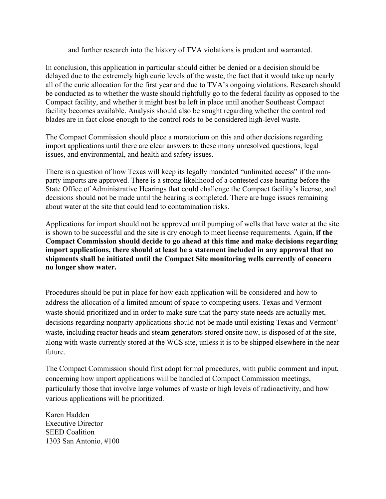and further research into the history of TVA violations is prudent and warranted.

In conclusion, this application in particular should either be denied or a decision should be delayed due to the extremely high curie levels of the waste, the fact that it would take up nearly all of the curie allocation for the first year and due to TVA's ongoing violations. Research should be conducted as to whether the waste should rightfully go to the federal facility as opposed to the Compact facility, and whether it might best be left in place until another Southeast Compact facility becomes available. Analysis should also be sought regarding whether the control rod blades are in fact close enough to the control rods to be considered high-level waste.

The Compact Commission should place a moratorium on this and other decisions regarding import applications until there are clear answers to these many unresolved questions, legal issues, and environmental, and health and safety issues.

There is a question of how Texas will keep its legally mandated "unlimited access" if the nonparty imports are approved. There is a strong likelihood of a contested case hearing before the State Office of Administrative Hearings that could challenge the Compact facility's license, and decisions should not be made until the hearing is completed. There are huge issues remaining about water at the site that could lead to contamination risks.

Applications for import should not be approved until pumping of wells that have water at the site is shown to be successful and the site is dry enough to meet license requirements. Again, **if the Compact Commission should decide to go ahead at this time and make decisions regarding import applications, there should at least be a statement included in any approval that no shipments shall be initiated until the Compact Site monitoring wells currently of concern no longer show water.** 

Procedures should be put in place for how each application will be considered and how to address the allocation of a limited amount of space to competing users. Texas and Vermont waste should prioritized and in order to make sure that the party state needs are actually met, decisions regarding nonparty applications should not be made until existing Texas and Vermont' waste, including reactor heads and steam generators stored onsite now, is disposed of at the site, along with waste currently stored at the WCS site, unless it is to be shipped elsewhere in the near future.

The Compact Commission should first adopt formal procedures, with public comment and input, concerning how import applications will be handled at Compact Commission meetings, particularly those that involve large volumes of waste or high levels of radioactivity, and how various applications will be prioritized.

Karen Hadden Executive Director SEED Coalition 1303 San Antonio, #100